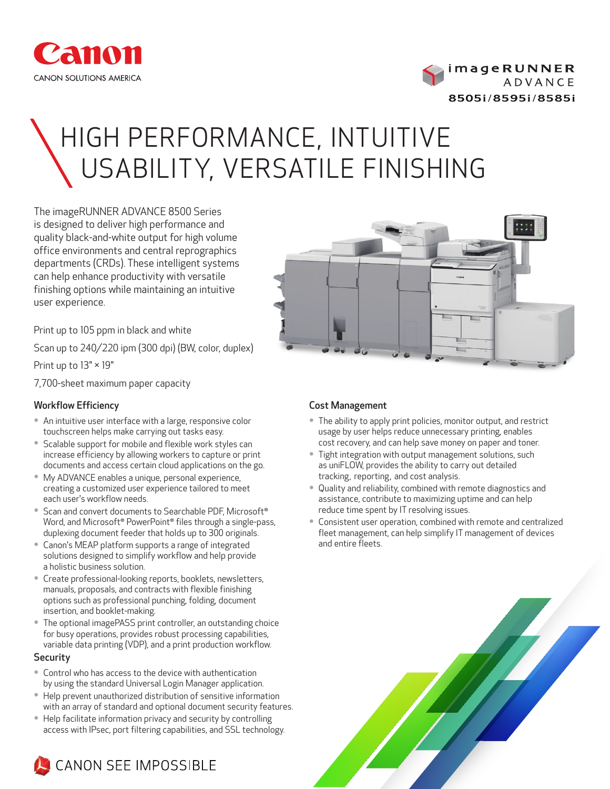



# HIGH PERFORMANCE, INTUITIVE USABILITY, VERSATILE FINISHING

The imageRUNNER ADVANCE 8500 Series is designed to deliver high performance and quality black-and-white output for high volume office environments and central reprographics departments (CRDs). These intelligent systems can help enhance productivity with versatile finishing options while maintaining an intuitive user experience.

Print up to 105 ppm in black and white

Scan up to 240/220 ipm (300 dpi) (BW, color, duplex)

Print up to 13" × 19"

7,700-sheet maximum paper capacity

# Workflow Efficiency

- An intuitive user interface with a large, responsive color touchscreen helps make carrying out tasks easy.
- Scalable support for mobile and flexible work styles can increase efficiency by allowing workers to capture or print documents and access certain cloud applications on the go.
- My ADVANCE enables a unique, personal experience, creating a customized user experience tailored to meet each user's workflow needs.
- Scan and convert documents to Searchable PDF, Microsoft<sup>®</sup> Word, and Microsoft<sup>®</sup> PowerPoint<sup>®</sup> files through a single-pass, duplexing document feeder that holds up to 300 originals.
- Canon's MEAP platform supports a range of integrated solutions designed to simplify workflow and help provide a holistic business solution.
- Create professional-looking reports, booklets, newsletters, manuals, proposals, and contracts with flexible finishing options such as professional punching, folding, document insertion, and booklet-making.
- The optional imagePASS print controller, an outstanding choice for busy operations, provides robust processing capabilities, variable data printing (VDP), and a print production workflow.

# **Security**

- Control who has access to the device with authentication by using the standard Universal Login Manager application.
- Help prevent unauthorized distribution of sensitive information with an array of standard and optional document security features.
- Help facilitate information privacy and security by controlling access with IPsec, port filtering capabilities, and SSL technology.





# Cost Management

- The ability to apply print policies, monitor output, and restrict usage by user helps reduce unnecessary printing, enables cost recovery, and can help save money on paper and toner.
- Tight integration with output management solutions, such as uniFLOW, provides the ability to carry out detailed tracking, reporting, and cost analysis.
- Quality and reliability, combined with remote diagnostics and assistance, contribute to maximizing uptime and can help reduce time spent by IT resolving issues.
- Consistent user operation, combined with remote and centralized fleet management, can help simplify IT management of devices and entire fleets.

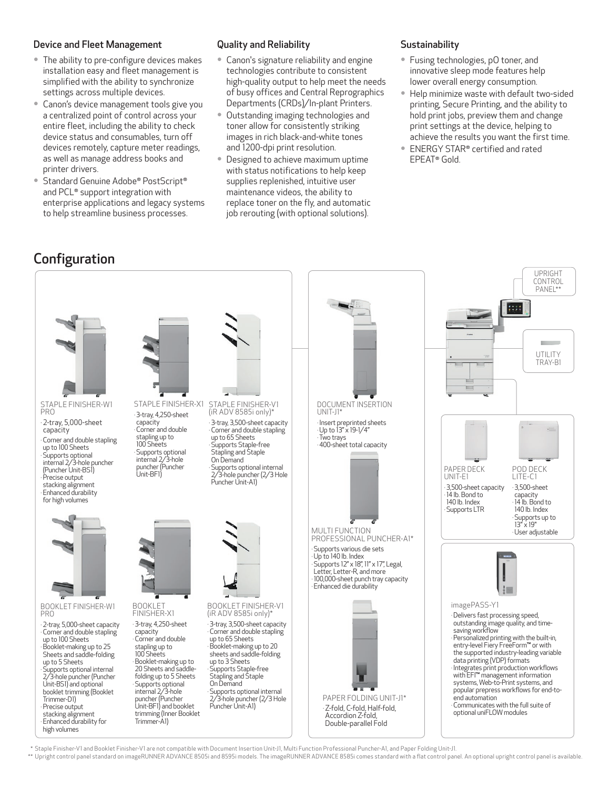# Device and Fleet Management

- The ability to pre-configure devices makes installation easy and fleet management is simplified with the ability to synchronize settings across multiple devices.
- Canon's device management tools give you a centralized point of control across your entire fleet, including the ability to check device status and consumables, turn off devices remotely, capture meter readings, as well as manage address books and printer drivers.
- Standard Genuine Adobe® PostScript® and PCL<sup>®</sup> support integration with enterprise applications and legacy systems to help streamline business processes.

# Quality and Reliability

- Canon's signature reliability and engine technologies contribute to consistent high-quality output to help meet the needs of busy offices and Central Reprographics Departments (CRDs)/In-plant Printers.
- Outstanding imaging technologies and toner allow for consistently striking images in rich black-and-white tones and 1200-dpi print resolution.
- Designed to achieve maximum uptime with status notifications to help keep supplies replenished, intuitive user maintenance videos, the ability to replace toner on the fly, and automatic job rerouting (with optional solutions).

# **Sustainability**

- Fusing technologies, pO toner, and innovative sleep mode features help lower overall energy consumption.
- Help minimize waste with default two-sided printing, Secure Printing, and the ability to hold print jobs, preview them and change print settings at the device, helping to achieve the results you want the first time.
- ENERGY STAR<sup>®</sup> certified and rated EPEAT<sup>®</sup> Gold.

# Configuration



\* Staple Finisher-V1 and Booklet Finisher-V1 are not compatible with Document Insertion Unit-J1, Multi Function Professional Puncher-A1, and Paper Folding Unit-J1.

\*\* Upright control panel standard on imageRUNNER ADVANCE 8505i and 8595i models. The imageRUNNER ADVANCE 8585i comes standard with a flat control panel. An optional upright control panel is available.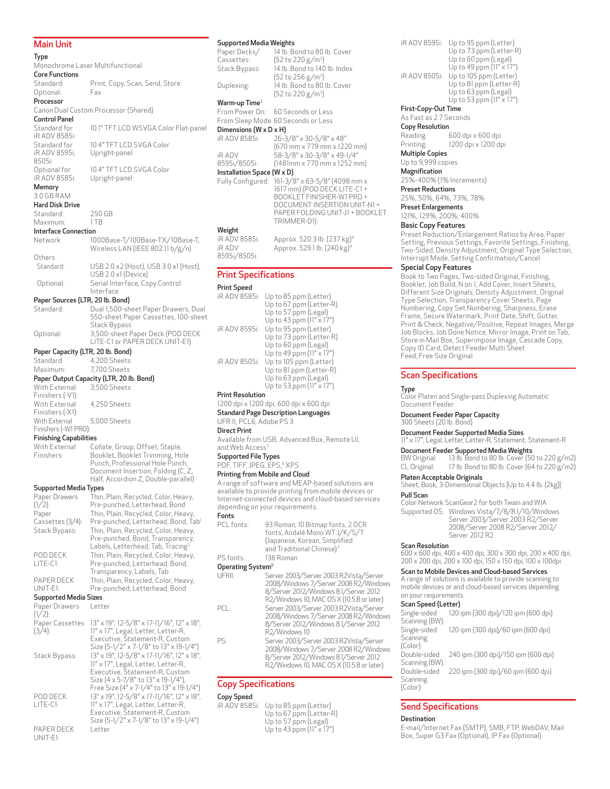#### Main Unit

Type Monochrome Laser Multifunctional Core Functions Standard: Print, Copy, Scan, Send, Store<br>Optional: Fax Optional: Processor Canon Dual Custom Processor (Shared) Control Panel Standard for iR ADV 8585i: 10.1" TFT LCD WSVGA Color Flat-panel Standard for iR ADV 8595i, 8505i: 10.4" TFT LCD SVGA Color Upright-panel Optional for iR ADV 8585i: 10.4" TFT LCD SVGA Color Upright-panel Memory 3.0 GB RAM Hard Disk Drive Standard: 250 GB<br>Maximum: 1 TR Maximum **Interface Connection**<br>Network 10 1000Base-T/100Base-TX/10Base-T, Wireless LAN (IEEE 802.11 b/g/n) Others Standard: USB 2.0 x2 (Host), USB 3.0 x1 (Host), USB 2.0 x1 (Device) Optional: Serial Interface, Copy Control Interface Paper Sources (LTR, 20 lb. Bond) Standard: Dual 1,500-sheet Paper Drawers, Dual 550-sheet Paper Cassettes, 100-sheet Stack Bypass Optional: 3,500-sheet Paper Deck (POD DECK LITE-C1 or PAPER DECK UNIT-E1) Paper Capacity (LTR, 20 lb. Bond)<br>Standard: 4,200 Sheets Standard: 4,200 Sheets<br>Maximum: 7700 Sheets 7,700 Sheets Paper Output Capacity (LTR, 20 lb. Bond) With External Finishers (-V1): 3,500 Sheets With External Finishers (-X1): 4,250 Sheets With External Finishers (-W1 PRO): 5,000 Sheets Finishing Capabilities With External Finishers: Collate, Group, Offset, Staple, Booklet, Booklet Trimming, Hole Punch, Professional Hole Punch, Document Insertion, Folding (C, Z, Half, Accordion Z, Double-parallel) Supported Media Types Paper Drawers  $(1/2)$ : Thin, Plain, Recycled, Color, Heavy, Pre-punched, Letterhead, Bond Paper Cassettes (3/4): Thin, Plain, Recycled, Color, Heavy, Pre-punched, Letterhead, Bond, Tab1 Stack Bypass: Thin, Plain, Recycled, Color, Heavy, Pre-punched, Bond, Transparency, Labels, Letterhead, Tab, Tracing<sup>2</sup> POD DECK LITE-C1: Thin, Plain, Recycled, Color, Heavy, Pre-punched, Letterhead, Bond, Transparency, Labels, Tab PAPER DECK UNIT-E1: Thin, Plain, Recycled, Color, Heavy, Pre-punched, Letterhead, Bond Supported Media Sizes Paper Drawers  $(1/2)$ : Letter Paper Cassettes 13" x 19", 12-5/8" x 17-11/16", 12" x 18",  $(3/4):$ 11" x 17", Legal, Letter, Letter-R, Executive, Statement-R, Custom Size (5-1/2" x 7-1/8" to 13" x 19-1/4") Stack Bypass: 13" x 19", 12-5/8" x 17-11/16", 12" x 18", 11" x 17", Legal, Letter, Letter-R, Executive, Statement-R, Custom Size (4 x 5-7/8" to 13" x 19-1/4"), Free Size (4" x 7-1/4" to 13" x 19-1/4") POD DECK LITE-C1: 13" x 19", 12-5/8" x 17-11/16", 12" x 18", 11" x 17", Legal, Letter, Letter-R, Executive, Statement-R, Custom Size (5-1/2" x 7-1/8" to 13" x 19-1/4") PAPER DECK UNIT-E1: Letter

#### Supported Media Weights Pap

| Paper Decks/                                                      | 14 lb. Bond to 80 lb. Cover   |
|-------------------------------------------------------------------|-------------------------------|
| Cassettes:                                                        | (52 to 220 g/m <sup>2</sup> ) |
| Stack Bypass:                                                     | 14 lb. Bond to 140 lb. Index  |
|                                                                   | (52 to 256 g/m <sup>2</sup> ) |
| Duplexing:                                                        | 14 lb. Bond to 80 lb. Cover   |
|                                                                   | (52 to 220 g/m <sup>2</sup> ) |
| Warm-up Time <sup>3</sup>                                         |                               |
| $\Gamma_{\text{max}}$ $\Gamma_{\text{max}}$ $\Gamma_{\text{max}}$ |                               |

From Power On: 60 Seconds or Less From Sleep Mode: 60 Seconds or Less

#### Dimensions (W x D x H)

| 8595i/8505i:  | $(1481$ mm x 770 mm x 1252 mm) |
|---------------|--------------------------------|
|               |                                |
| <b>iR ADV</b> | 58-3/8" x 30-3/8" x 49-1/4"    |
|               | (670 mm x 779 mm x 1220 mm)    |
| iR ADV 8585i: | 26-3/8" x 30-5/8" x 48"        |
|               |                                |

#### Installation Space (W) Fully Configured: 161-3/8" x 63-5/8" (4098 mm x 1617 mm) (POD DECK LITE-C1 + BOOKLET FINISHER-W1 PRO + DOCUMENT INSERTION UNIT-N1 + PAPER FOLDING UNIT-J1 + BOOKLET TRIMMER-D1):

# Weight<br>iR ADV 8585i:

Approx. 520.3 lb. (237 kg)<sup>4</sup> iR ADV 8595i/8505i: Approx. 529.1 lb. (240 kg)4

#### Print Specifications

#### Print Speed

| Up to 85 ppm (Letter)           |
|---------------------------------|
| Up to 67 ppm (Letter-R)         |
| Up to 57 ppm (Legal)            |
| Up to 43 ppm $(11" \times 17")$ |
| Up to 95 ppm (Letter)           |
| Up to 73 ppm (Letter-R)         |
| Up to 60 ppm (Legal)            |
| Up to 49 ppm $(11" \times 17")$ |
| Up to 105 ppm (Letter)          |
| Up to 81 ppm (Letter-R)         |
| Up to 63 ppm (Legal)            |
| Up to 53 ppm (11" x 17")        |
|                                 |

#### Print Resolution

1200 dpi x 1200 dpi, 600 dpi x 600 dpi Standard Page Description Languages

UFR II, PCL6, Adobe PS 3

#### Direct Print

Available from USB, Advanced Box, Remote UI, and Web Access<sup>5</sup>

#### Supported File Types

PDF, TIFF, JPEG, EPS,6 XPS

# Printing from Mobile and Cloud

A range of software and MEAP-based solutions are available to provide printing from mobile devices or Internet-connected devices and cloud-based services depending on your requirements. Fonts

| PCL fonts: | 93 Roman, 10 Bitmap fonts, 2 OCR<br>fonts, Andalé Mono WT J/K/S/T<br>(Japanese, Korean, Simplified<br>and Traditional Chinese)7 |
|------------|---------------------------------------------------------------------------------------------------------------------------------|
| PS fonts:  | 136 Roman                                                                                                                       |

#### Operating System<sup>8</sup>

| UFRII: | Server 2003/Server 2003 R2Vista/Server<br>2008/Windows 7/Server 2008 R2/Windows<br>8/Server 2012/Windows 8.1/Server 2012<br>R2/Windows 10, MAC OS X (10.5.8 or later) |
|--------|-----------------------------------------------------------------------------------------------------------------------------------------------------------------------|
| --     |                                                                                                                                                                       |

PCL: Server 2003/Server 2003 R2Vista/Server 2008/Windows 7/Server 2008 R2/Windows 8/Server 2012/Windows 8.1/Server 2012 R2/Windows 10 PS: Server 2003/Server 2003 R2Vista/Server

2008/Windows 7/Server 2008 R2/Windows 8/Server 2012/Windows 8.1/Server 2012 R2/Windows 10, MAC OS X (10.5.8 or later)

# Copy Specifications

#### Copy Speed

| iR ADV 8585i: Up to 85 ppm (Letter) |
|-------------------------------------|
| Up to 67 ppm (Letter-R)             |
| Up to 57 ppm (Legal)                |
| Up to 43 ppm $(11" \times 17")$     |

#### Up to 49 ppm (11" x 17") iR ADV 8505i: Up to 105 ppm (Letter) Up to 81 ppm (Letter-R) Up to 63 ppm (Legal) Up to 53 ppm (11" x 17") First-Copy-Out Time As Fast as 2.7 Seconds Copy Resolution Reading: 600 dpi x 600 dpi Printing: 1200 dpi x 1200 dpi Multiple Copies Up to 9,999 copies Magnification 25%-400% (1% Increments) Preset Reductions 25%, 50%, 64%, 73%, 78%

iR ADV 8595i: Up to 95 ppm (Letter)

Up to 73 ppm (Letter-R) Up to 60 ppm (Legal)

Preset Enlargements 121%, 129%, 200%, 400%

#### Basic Copy Features

Preset Reduction/Enlargement Ratios by Area, Paper Setting, Previous Settings, Favorite Settings, Finishing, Two-Sided, Density Adjustment, Original Type Selection, Interrupt Mode, Setting Confirmation/Cancel

#### Special Copy Features

Book to Two Pages, Two-sided Original, Finishing, Booklet, Job Build, N on 1, Add Cover, Insert Sheets, Different Size Originals, Density Adjustment, Original Type Selection, Transparency Cover Sheets, Page Numbering, Copy Set Numbering, Sharpness, Erase Frame, Secure Watermark, Print Date, Shift, Gutter, Print & Check, Negative/Positive, Repeat Images, Merge Job Blocks, Job Done Notice, Mirror Image, Print on Tab, Store in Mail Box, Superimpose Image, Cascade Copy, Copy ID Card, Detect Feeder Multi Sheet Feed, Free Size Original

#### Scan Specifications

#### Type

Color Platen and Single-pass Duplexing Automatic Document Feeder

### Document Feeder Paper Capacity

300 Sheets (20 lb. Bond)

# Document Feeder Supported Media Sizes

11" x 17", Legal, Letter, Letter-R, Statement, Statement-R

# **Document Feeder Supported Media Weights**<br>BW Original: 13 lb. Bond to 80 lb. Cover (50

BW Original: 13 lb. Bond to 80 lb. Cover (50 to 220 g/m2)<br>CL Original: 17 lb. Bond to 80 lb. Cover (64 to 220 g/m2) 17 lb. Bond to 80 lb. Cover (64 to 220 g/m2)

#### Platen Acceptable Originals

Sheet, Book, 3-Dimensional Objects [Up to 4.4 lb. (2kg)]

#### Pull Scan

Color Network ScanGear2 for both Twain and WIA Supported OS: Windows Vista/7/8/8.1/10/Windows Server 2003/Server 2003 R2/Server 2008/Server 2008 R2/Server 2012/ Server 2012 R2

#### Scan Resolution

600 x 600 dpi, 400 x 400 dpi, 300 x 300 dpi, 200 x 400 dpi, 200 x 200 dpi, 200 x 100 dpi, 150 x 150 dpi, 100 x 100dpi

#### Scan to Mobile Devices and Cloud-based Services

A range of solutions is available to provide scanning to mobile devices or and cloud-based services depending on your requirements.

#### Scan Speed (Letter)

| 120 ipm (300 dpi)/120 ipm (600 dpi) |
|-------------------------------------|
|                                     |
| 120 ipm (300 dpi)/60 ipm (600 dpi)  |
|                                     |
|                                     |
| 240 ipm (300 dpi)/150 ipm (600 dpi) |
|                                     |
| 220 ipm (300 dpi)/60 ipm (600 dpi)  |
|                                     |
|                                     |
|                                     |

# Send Specifications

#### **Destination**

E-mail/Internet Fax (SMTP), SMB, FTP, WebDAV, Mail Box, Super G3 Fax (Optional), IP Fax (Optional)